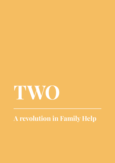

# **A revolution in Family Help**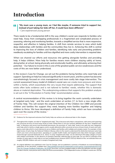# **Introduction**

*"My mum was a young mum, so I feel like maybe, if someone tried to support her,*  44. *instead of just taking her kids off her, it could have been different."* 

*- Care experienced young person*

There needs to be a fundamental shift in the way children's social care responds to families who need help. Away from overlapping professionals in a fragmented and complicated process of assessing, referring and monitoring families, towards a simplified service that is more responsive, respectful, and effective in helping families. A shift from remote services to ones which build deep relationships with families and the communities they live in. Achieving this shift is central to improving the lives of children and families, identifying risks early and preventing problems needlessly escalating for families until less dignified and more costly intervention is required later.

When we channel our efforts and resources into getting alongside families and providing help, it helps children. More help for families means more children staying safely at home, doing better at school, being physically and emotionally healthy, and ultimately achieving their potential.16 Our failure to invest in this is one of the greatest public service weaknesses and the costs of this are now better understood.

In the review's Case for Change, we set out the problems facing families who need help and support. Spending on help has reduced significantly in recent years, and the system has become overwhelmingly focused on crisis management and more costly late stage intervention. The current assessment heavy model of children's social care can create more pressure and stress within a family, which exacerbates the very issues that require addressing. The support that exists often lacks evidence and is not tailored to families' needs, whether this is domestic abuse or material deprivation. The underpinning evidence that supports this problem analysis is set out in the "A Revolution in Family Help" recommendation annex.

A central recommendation of this review is to bring together the work currently undertaken at targeted early help<sup>17</sup> and the work undertaken at section 17, to form a new single offer of Family Help. This will reclaim the original intention of the Children Act 1989 and provide children and families the support they need, keeping more families together and helping children to thrive. We have developed a definition of Family Help, which we have consulted upon over the course of the review.<sup>18</sup>

<sup>18</sup> An original definition was published in the Case for Change, and we published a summary of feedback we received following publication of the document, available here: https://childrenssocialcare.independent-review.uk/wp-content/uploads/2021/10/ Case-for-Change-Feedback-Publication-18.10.pdf. Since then, we have engaged widely to refine this definition and also sought to make it shorter, more precise and to reflect the final recommendation. (The independent review of children's social care. 2021b)



<sup>16</sup> Evidence for the improved outcomes that Family Help can achieve are referenced later in this chapter.

<sup>17</sup> Throughout this chapter, we refer to "targeted early help". This is because early help is a broad term, with some work spanning into universal services at much lower levels of need. Whilst there is not one common definition for the term "targeted early help", in literature and across local threshold documents, the provision of "early help" tends to be split into two categories: early help which is led by a single agency and is usually delivered within universal services at lower levels of need; and multiagency early help which is more intensive to serve children and families with multiple and complex needs. For example, in their rapid review of early help, the National Children's Bureau refers to the need to understand the distinction between early help which uses more universal provision, operating on a public health model, and targeted early help which manages complex needs through casework (Edwards et al., 2021). In using "targeted early help", we are referring to this latter category of work with children and families. In the absence of standard nationally collected data at early help, we use ADCS's estimate of the number of cases open to early help as our best available proxy measure (ADCS 2021a). Based on this, we estimate there are roughly 200,000 children who are in receipt of targeted early help.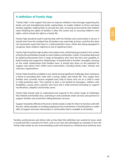# **A definition of Family Help**

"Family Help" is the support that aims to improve children's lives through supporting the family unit and strengthening family relationships, to enable children to thrive and keep families together, helping them to provide the safe, nurturing environments that children need. Realising the rights of families is often the surest way to securing children's own rights, which include the right to a family life.

Family Help should be built in partnership with the families and communities it serves. It should start from the mindset that all families may need help at times, and that this does not necessarily mean that there is a child protection issue, whilst also being equipped to recognise when children might be at risk of significant harm.

Family Help should be high quality and evidence led, whilst being grounded in the context of family life and flexible enough to meet children and families' needs. It should be delivered by skilled professionals from a range of disciplines who have the time and capability to build trusting and supportive relationships. It should build on families' strengths, drawing on the wider relationships that families have. It should also draw on the potential for support and advice from within local communities, including family hubs, schools and voluntary organisations.

Family Help should be available to any family facing significant challenges that could pose a threat to providing their child with a loving, stable, safe family life. This ranges from families who currently receive targeted early help to those who are on a child in need or child protection plan. This extends to (but is not limited to) teenagers, children with disabilities, young carers, parents who have had a child removed (including to support reunification), adopters and kinship carers.

Family Help should seek to understand and respond to the whole range of challenges that children and families face, and bring in and coordinate wider services and partners to support families and avoid them falling between services.

Support should be offered at the level a family needs in order for them to function well with the aim, where possible, of avoiding ongoing service involvement. It should build on a wider offer of support and early intervention in communities that is available to all families.

Families, professionals and others told us they liked this definition but wanted to know what it would look like in practice for them, and so we have also developed an example of how the Family Help model we are recommending could work based on a fictional local authority area.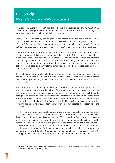# **Family Help**

## *What could it look and feel like on the ground?*

An urban local authority in the Midlands has an overall population size of 300,000. 90,000 are children, making up 30% of the population. In certain parts of the local authority<sup>19</sup> it is estimated that 45% of children are living in poverty.

Family Help is delivered by ten neighbourhood teams who each serve around 30,000 people, which means the teams know the schools, nurseries, neighbourhood police officers, GPs, health visitors, community groups, and others in their area well. The local authority decided the footprint in consultation with the community and their partners.

One of the neighbourhood teams is in a suburb at the edge of the city. From looking at their data and intelligence, they estimate that around 1,500 children are likely to be eligible for Family Help, roughly 680 families. Through talking to families and partners and looking at data, they identify the key problems facing families. These include high levels of domestic abuse and substance misuse within families, and anti-social behaviour and peer-on-peer violence amongst older children focused around a local parade of shops near the school.

The multidisciplinary Family Help Team is shaped to meet the needs of these families and children. The team is based out of universal services which are accessible across the community - including a family hub, two secondary schools, a primary school and a youth club.

Families in the area can be signposted or just turn up to any one of these places to talk about anything they are worried about. The team hosts outreach sessions, such as coffee mornings, to raise awareness of the service in the community, which helps to destigmatise accessing support. Families will either receive advice about wider services in the area which can help them if they do not need more intensive support, or have a conversation with the Family Help Team if they do. The service has gained a reputation for being genuinely helpful, and families who have been supported also recommend the service to others.

Families with more serious problems get a key worker, who gets to know them and sticks with them to navigate and coordinate the help on offer through the Family Help Team, community and commissioned services. This might be a family support worker, a youth worker, a social worker or another practitioner depending on who is best suited to help them. Social workers have oversight of all of the cases and do group and individual supervision with workers to help them think about the help families need or what to do if problems are getting worse. Social workers are trained in intensive interventions so they can do the work with families themselves, like Functional Family Therapy to work with young people involved in serious anti-social behaviour and/or substance misuse.

<sup>19</sup> This example is based on a fictional local authority area and is intended to illustrate what help might be available to families in implementing Family Help.

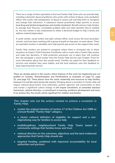There are a range of other specialists in the local Family Help Team who can provide help, including a domestic abuse practitioner who works with victims of abuse, and a probation officer who works with perpetrators of abuse to assess risk and help them to recognise and change their behaviour. A substance misuse practitioner helps parents to access local drug and alcohol programmes and monitor treatment. Benefit advisers help families to manage their finances, consolidate problem debt and claim benefits they're entitled to. Any key worker is also empowered to utilise a devolved budget to help a family and address material deprivation.

A youth worker, social worker and safer schools officer work across the local secondary schools, and have been working with a group of pupils to stop peer-on-peer abuse. There are specialist workers in disability who help parents get access to the support they need.

Family Help workers are trained to recognise where there is increased risk. In these situations an Expert Child Protection Practitioner will co-work with a Family Help worker and make key decisions. If child protection processes are in place they will continue this role alongside a social worker from the Family Help Service (see Chapter Three for more information about how this would work). Families are asked for their feedback on services and whether they were helpful, and the local authority uses this feedback to keep improving their service.

There are already places in the country where features of this work are happening (see our profiles on Camden, Wolverhampton and Hertfordshire as examples on page 51, page 52, and page 53). These places have the vision, leadership and resources to help families, however it is not the norm across the country. Bringing about a revolution in Family Help will require national government, local authorities, partner agencies and communities to drive and sustain a significant culture change. It will require investment, an amended statutory framework, national direction, a commitment to learning, workforce development and more. If we achieve this, the results will be significant for children and families.

*This chapter sets out the actions needed to achieve a revolution in Family Help:* 

- *• reclaim the original intention of section 17 of the Children Act 1989 as a broad flexible "Family Help" category.*
- *• a clearer national definition of eligibility for support and a nonstigmatising way for families to access help*
- *• multidisciplinary neighbourhood Family Help Teams based in community settings that families know and trust*
- *• national direction on the outcomes, objectives and the best evidenced approaches that Family Help should use*
- *• targeted funding, combined with improved accountability for local authorities and partners*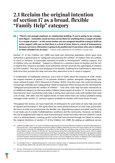# **2.1 Reclaim the original intention of section 17 as a broad, flexible "Family Help" category**

*"There's not enough emphasis on relationship building. If you're going to be a longerterm figure – remember social services can be there for anything from a couple of weeks to a couple of years – so the social worker you are assigned should be trying to build an active rapport with you so that there is a level of trust, there is a level of transparency because not every interaction is going to be positive but if you know who you're talking to there shouldn't be an issue." - Parent with experience of children's social care*

Section 17 of the Children Act 1989 was bold and reforming legislation which gave local authorities a general duty to "safeguard and promote the welfare" of children who are unlikely to reach or maintain "a reasonable standard of health or development" without support, and of children who are disabled.<sup>20</sup> Support is offered on a voluntary basis to families and the Act is explicit that, wherever possible, local authorities should "promote the upbringing of children by their families". This duty was designed to be flexible, enabling local authorities to determine both how they provide this help and who they determine to be in need of support.

A combination of inadequate resources, and a lack of clarity about the purpose of work, meant the original intention of section 17 to promote children's welfare, alongside safeguarding, was never realised (Cooper, 2021; Research in Practice, 2022). Over the years, this work has become increasingly inflexible and "safeguarding" (itself an imprecise term) has become the shorthand for "safeguard and promote the welfare of children".<sup>21</sup> Over time, early help has been introduced as an additional category, to intervene before children need support at section 17. As local resources have become more constrained, early help is doing more and more work with families that need a lot of help, with often only the highest levels of need where there are serious problems being managed under section 17, and less support available for families with lower levels of need.<sup>22</sup>

Throughout the review, we have heard lots of enthusiasm for work done at early help and calls to expand and formalise it. We agree there are many positive features of early help, particularly the focus on help over assessment; the flexible, non-stigmatising support provided; and the way it can make use of a wider multidisciplinary workforce and the community. However, we believe the use of targeted early help for work that previously would have been done by children's social care is a sticking plaster, covering up the cracks that have formed through our failure to achieve the original intentions of section 17 of the Children Act 1989. By adding an additional service

<sup>22</sup> See the "A Revolution in Family Help" recommendation annex for more detail about the introduction of early help and evidence about its increased use for work previously done at section 17.



<sup>20</sup> Children Act 1989 section 17 (1) reads: "It shall be the general duty of every local authority (in addition to the other duties imposed on them by this Part) - (a) to safeguard and promote the welfare of children within their area who are in need; and (b) so far as is consistent with that duty, to promote the upbringing of such children by their families, by providing a range and level of services appropriate to those children's needs." Section 17 (10) sets out: "For the purposes of this Part a child shall be taken to be in need if - (a) he is unlikely to achieve or maintain, or to have the opportunity of achieving or maintaining, a reasonable standard of health or development without the provision for him of services by a local authority under this Part; (b) his health or development is likely to be significantly impaired, or further impaired, without the provision for him of such services; or (c) he is disabled, and "family", in relation to such a child, includes any person who has parental responsibility for the child and any other person with whom he has been living."

<sup>21</sup> An example of this is "safeguarding partners" who have a statutory duty to "safeguard and promote the welfare of children". We specifically address this question about their function in Chapter Eight.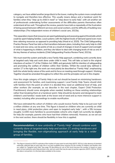category, we have added another jenga block to the tower, making the system more complicated to navigate and therefore less effective. This usually means delays and a handover point for families when they "step up to child in need" or "step down to early help", with yet another set of professionals undertaking further assessments of the difficulties parents themselves often understand all too well. Throughout the review, parents have told us repeatedly of the frustration of being passed between different services and social workers, and the difficulty of building new relationships (The independent review of children's social care, 2022b).

This separation means that resources are spent gatekeeping and assessing against thresholds which could be spent helping families. Local systems with the highest levels of demand spend even more time rationing resources as opposed to providing help (Hood et al, 2020). The Child Safeguarding Practice Review Panel has told us that transitions between plans, including from early help to child in need and vice versa, can be points of risk as a result of changes in level of support and oversight of what is happening to children, and they cite failure to deal with changing levels of risk as one of the key themes of serious incidents (Child Safeguarding Practice Review Panel, 2021b).

We must reset the system and build a new Family Help approach, combining work currently done at targeted early help and work done under child in need. This will take us back to the original intentions of section 17 of the Children Act 1989, and genuinely fulfil its intention of safeguarding and promoting the welfare of children within their families. Whilst the overall duty defined in section 17 is the right one, the work can most plainly be described as "Family Help", emphasising both the whole family nature of the work and its focus on meeting need through support. *Working Together* should be amended throughout to reflect this and the principles set out in this chapter.

How this single category of Family Help is set out should be based on minimising handovers and assessment for families, and maximising support. Local Family Help Teams should stick with families from the point at which it is decided they need an additional level of help, and other workers (for example, as we describe in the next chapter, Expert Child Protection Practitioners) should come alongside when needed, building on these existing relationships rather than breaking them at a handover point. Help should be dynamic and designed to meet children's and families' needs both at the lower end of need and as more intensive support is needed, including after proceedings to enable reunification.

We have estimated the cohort of children who would receive Family Help to be just over half a million children at any one time. This figure is based on children who are currently on child in need plans, child protection plans and open to targeted early help<sup>23</sup>, with a 5% increase (roughly 12,000 more families) to accommodate cohorts who might not currently be eligible for help (for example, parents who have had their children removed). However, as we set out in the next section, there should be flexibility in how this is applied.

**Recommendation:** *A new umbrella of "Family Help" should combine work currently done at targeted early help and section 17, ending handovers and bringing the flexible, non-stigmatising approach at early help to a wider group of families.* 

<sup>23</sup> This figure is based on ADCS's estimate of the number of cases open to early help (ADCS, 2021a). In the absence of standard nationally collected data at early help, this is our best available proxy measure for the number of children and families who are subject to "targeted early help" (see page 30 describing our use of this term) because the number is based on cases open to local authority early help provision only, and not cases that may be open to partner agencies (ADCS, 2021a). Whilst this data is not perfect, it is the best data available to the review.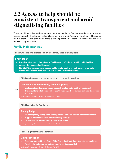# **2.2 Access to help should be consistent, transparent and avoid stigmatising families**

There should be a clear and transparent pathway that helps families to understand how they access support. The diagram below illustrates how a family's journey into Family Help could work in practice, including where there is a child protection concern (which is covered in more detail in Chapter Three).

# **Family Help pathway**

**Family, friends or a professional think a family need extra support**

### **Front Door**

- **• Experienced workers offer advice to families and professionals working with families**
- **• Assess what support families need**
- **• Identify if there are concerns about a child's safety, leading to multi-agency information checks with Expert Child Protection Practitioner involved in decision**

**Child can be supported by universal and community services**

### **Universal and community family support**

- **• Well coordinated services should support families and meet their needs early**
- **• This would include Family Hubs, health visitors, school nurses, community groups and others**

*Underpinning legislation: Section 10 Children Act 2004*

### **Child is eligible for Family Help**

### **Family Help**

- **• Multidisciplinary Family Help Teams provide additional tailored support to families**
- **• Support based in universal and community settings**
- **• Other universal and community services provided**

**Risk of significant harm identified**

### **Child Protection**

- **• Case is co-worked by an Expert Child Protection Practitioner to make key decisions**
- **• Family Help and universal and community services provided**

*Underpinning legislation: Section 47 Children Act 1989*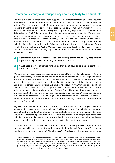## **Greater consistency and transparency about eligibility for Family Help**

Families ought to know that if they need support, or if a professional recognises they do, then they have a place they can go to ask for help and it should be clear what help is available to them. There is currently a lack of common understanding of the meaning of "reasonable standard of health or development" described in section 17, making it unclear if areas are meeting what is expected (Cooper, 2021). The scope of early help work is also poorly defined (Edwards et al., 2021). Local thresholds differ between areas and prescribe different levels of intervention or support for children with very similar needs, or who are facing very similar risks (Clements & National Children's Bureau, 2018). A review of case files undertaken for the review found considerable variation in the reasons for child in need plans being used, including inconsistency in the level of risk included at child in need (What Works Centre for Children's Social Care, 2022b). We hear frequently that thresholds for support (both at section 17 and early help) are very high. This point has particularly been raised by families of disabled children.

- *"Families struggle to get section 17s due to no 'safeguarding' issues … By not providing support initially families are ending up in crisis." - Parent*
- *"[We] need a lower threshold for help so they don't have to be in crisis point to get some help." - Parent*

We have carefully considered the case for setting eligibility for Family Help nationally to drive greater consistency. The root causes of high and uneven thresholds are in a large part down to the level of need and levels of resources available locally. These factors combine to drive practice decisions and so, on its own, setting eligibility nationally is not the solution to making help available consistently for families. We have concluded, however, that alongside additional investment (described later in the chapter) it would benefit both families and professionals to have a more consistent understanding of when Family Help should be offered, reflecting evidence about what factors are most likely to impact a child reaching a "reasonable standard of health or development". This would give more confidence in how additional investment would be targeted and enable a more consistent understanding of both the purpose and the success of Family Help.

Eligibility for Family Help should be set out in a sufficient level of detail to give a common understanding, based around the principle of families facing significant challenges that could pose a threat to providing their child with a loving, stable, safe family life. A national definition should also reference specific groups of children and families who might need extra help, including those already covered in existing legislation and guidance $24$ , as well as additional groups where the evidence is clear they would specifically benefit from support.

A national definition must also be sufficiently flexible to enable professional judgement in conversation with families about how they would be best helped. Concepts of "reasonable standard of health or development", "family stress" or "neglect" need to be applied by skilled

<sup>24</sup> This includes anyone who "is disabled and has specific additional needs; has special educational needs (whether or not they have a statutory Education, Health and Care Plan); is a young carer; is showing signs of being drawn into anti-social or criminal behaviour, including gang involvement and association with organised crime groups; is frequently missing/goes missing from care or from home; is at risk of modern slavery, trafficking or exploitation; is at risk of being radicalised or exploited; is in a family circumstance presenting challenges for the child, such as drug and alcohol misuse, adult mental health issues and domestic abuse; is misusing drugs or alcohol themselves; has returned home to their family from care; is a privately fostered child; or has a parent/carer in custody" (Department for Education, 2018b)'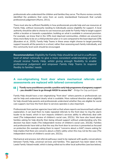professionals who understand the children and families they serve. The Munro review correctly identified the problems that come from an overly standardised framework that curtails professional judgement (Munro, 2011).

There must also be sufficient flexibility in how professionals provide help and use resources at Family Help, without necessarily needing to individually assess eligibility for support. A local authority should be able to choose to use resources put aside for Family Help to target support within a location or towards a population, building on what is available in universal provision. For example, we know that in the 10% most deprived communities, children are around ten times more likely to be on a child protection plan or in care compared to the least deprived 10% (Bywaters et al., 2020). Family Help Teams in these areas might choose to target parenting support towards all the parents in a school, rather than assessing each family individually, and this community level work should be encouraged.

**Recommendation:** *Eligibility for Family Help should be set out in a sufficient level of detail nationally to give a more consistent understanding of who should receive Family Help, whilst giving enough flexibility to enable professional judgement and empower Family Help Teams to respond flexibly to families' needs.* 

## **A non-stigmatising front door where mechanical referrals and assessments are replaced with tailored conversations**

#### *"Family nurse practitioners provide a positive early help programme of pregnancy support*  66. *- you shouldn't have to go through MASH to access this" - Bridge the Gap participant*

Family Help should have a non-stigmatising "front door" where parents or professionals can ask for help and understand clearly what is available. More national direction about eligibility for help should help parents and professionals understand whether they are eligible for social care support, but how the front door to services operates is also important.

Professionals from partner agencies have told us that where reports are bounced back without explanation, it can lead them to make repeated referrals to the front door to ring the alarm louder to be heard, which in turn impacts children's services ability to effectively deal with need (The independent review of children's social care, 2022c). We have also heard about families asking for help directly then being refused support without understanding why this decision has been made (The independent review of children's social care, 2022b). Families and professionals have told us that the way the front door to services is presented as focused on protection (for example asking them to report "concerns about a child") means asking for help implies that there are concerns about a child's safety when this may not be the case (The independent review of children's social care, 2022c).

Mechanical and process-led referral pathways need to be replaced with quality conversations between Family Help, universal services and families. This approach has been taken in the Leeds Family Valued model, which is being rolled out to other local authorities (see box below).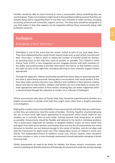Families should be able to come forward to have a conversation about something they are worried about. These conversations might result in the practitioner telling a parent that they are actually doing well or supporting them to use their own networks or wider services, including accessing universal and community support services. The front door should be designed in a way that makes it clear that support can be requested without there necessarily being child protection concerns.

# **Darlington**

## *Redesigning of their "front door"*

Darlington is one of the areas that the review visited as part of our local deep dives. They have implemented the Leeds Family Valued model and, as part of this, transformed their "front door" in March 2020 to reduce the number of transfer points for families by directing them to the help they need as quickly as possible. The Children's Initial Advice Team (CIAT), a new integrated service, engages directly with both members of the public and professionals to provide information and advice so that families receive the right services at the right time, including referring to more intensive support where appropriate.

Through this approach, children and families benefit from fewer delay in receiving help and less time is spent being assessed. Having direct conversations with social workers at the front door helps partners become more effective and confident in their decision making about how best to help families. Children and families are now more likely to receive the most appropriate intervention at first contact, meaning they are better supported which is demonstrated through the reduction in number of re-referrals in Darlington.

Where assessments take place at Family Help, they should be experienced by families as a helpful conversation to decide what help they might need, rather than a lengthy procedure or investigation.

Making this a reality means more flexibility in how assessments at Family Help are undertaken, so that they are tailored to meet the needs of families. *Working Together* should emphasise the use of much more light touch approaches to assessment where needs might be less complex (as is currently done in early help), moving towards help being given as quickly as possible. Assessments should be flexible and tailored to the family's individual problem. This is particularly important for families of disabled children where we have heard time and again from both social workers and families that one size fits all assessments are overly intrusive for families, are not tailored enough to the needs of families, and do not align well with the framework for adult social care (The independent review of children's social care, 2022b; The independent review of children's social care, 2022c). Equally, when situations are more complex or risky, a more thorough assessment should take place alongside a family receiving help.

Whilst assessments do need to be timely for families, the Munro review's conclusions were correct in pointing out that the existence of timescales for assessment sends the wrong message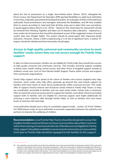about the role of assessment as a single, time-limited action (Munro, 2011). Alongside the Munro review, the Department for Education (DfE) granted flexibilities to eight local authorities in how they undertake assessment (including timescales). An evaluation of three of the pilot local authorities found practitioners and managers welcomed the flexibilities, and felt they enabled them to assess according to need (and that all three areas put in place their own procedures to guard against delay) (Munro et al., 2014).<sup>25</sup> Based on this, timescales for assessment should be removed from *Working Together* and taken out of statutory data collections - replaced by a more useful set of measures that should be developed as part of the suggested review of overall system data (see Chapter Eight). The system should be preoccupied with improving family outcomes. However, where a child is experiencing or is at risk of significant harm, a section 47 enquiry should be initiated and here timescales should apply.

## **Access to high quality universal and community services to meet families' needs where they are not severe enough for Family Help support**

If, after an initial conversation, families are not eligible for Family Help, they should have access to high quality universal and community services. This includes universal support available in family hubs, health visiting, school nurses, and other forms of targeted support outside of children's social care, such as from Mental Health Support Teams within schools and support from community organisations.

Family Help support will be aimed at the cohort of families who receive targeted early help. However, area's wider early help offers generally go beyond this and include support for families with lower levels of need, led by professionals within universal services. This wider offer of support should continue and should be closely linked to Family Help Teams, so they are coordinated, accessible to families, and can meet needs earlier. Family hubs in particular offer an important universal access point to support for families, and will be critical to providing support both to families who are eligible for universal support (and might additionally be receiving a more intensive offer through Family Help), as well as families who have lower levels of need but still need help.

Local authorities already have a duty to coordinate support locally - section 10 of the Children Act 2004 places a duty on local authorities to promote cooperation between the authority and partners to improve the wellbeing of children.

**Recommendation:** *Local Family Help Teams should be designed in a way that enables families and practitioners to have a conversation about their concerns rather than relying on mechanical referrals. If families are not eligible for Family Help, support should be available in universal and community services and the front door to Family Help should be equipped to link families to this support.* 

<sup>25</sup> The evaluations also found that two of the local authorities set an internal notional limit on timescales and that "there was some evidence of gravitation back towards 'timescale management', rather than promotion of professional judgement, following a reduction in the number of social workers with skill and experience in this area of practice", whereas one local authority was able to make a more noticeable shift to their practice. This shows that flexibilities are an important part of achieving change, but not on their own enough, and need to be supported by the review's wider recommendations to improve the system.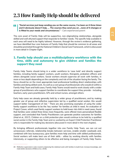# **2.3 How Family Help should be delivered**

*"Social services just keep sending you on the same course, I've been on it three times*  44 *and it obviously doesn't help. … The courses they send you on …none of it changes or is fitted to your needs and circumstances." - Care experienced parent*

The core asset of Family Help will be supportive, non-stigmatising relationships, alongside skilled and well attuned support that responds to families' needs. The specific help available in each area will need to be highly tailored. However, through the review's evidence gathering, we have identified four core features of Family Help that should be common to all areas and should be promoted through the National Children's Social Care Framework, which is discussed in more detail in Chapter Eight.

# **1. Family help should use a multidisciplinary workforce with the time, skills and autonomy to give children and families the support they need**

Family Help Teams should bring in a wider workforce to 'case hold' and directly support families, including family support workers, youth workers, therapists, probation officers and others alongside social workers. Social workers should supervise all work with families, in more or less depth depending on the complexity and risk of the situation facing the family. The focus should be on the most appropriate lead professional building direct relationships with families and doing skilled work. As well as a core group of professionals who would sit within a Family Help Team and hold cases, Family Help Teams would need to work closely with a wider group of practitioners who support families to coordinate the support they provide - including teachers, early years practitioners, GPs and school nurses, amongst others.

Early help cases are already generally held by a wider group of practitioners, and by making greater use of group and reflective supervision led by a qualified social worker, this would support better management of risk. $26$  There are also promising examples of using the wider family support workforce to be the 'key worker' for families at child in need. An evaluation of Project Crewe, which used family support workers to hold lower risk child in need cases, found that families were visited three times more frequently, were offered more personalised flexible support, and concluded that Family Practitioners can generate positive outcomes for families (Heal et al., 2017). Children on a child protection plan would continue to be held by a qualified social worker in the Family Help Team and co-worked by an Expert Child Protection Practitioner who is responsible for making key decisions (discussed in more detail in the next chapter).

By bringing different professionals together into one Family Help Team, we can cut out unnecessary referrals, relationship breaks between services, enable smaller caseloads and, combined with less bureaucracy, give families more help and time with skilled professionals. Social workers will make best use of their skills - either by working directly with families intensively, or supporting others to be effective and being managers of Family Help Teams.

<sup>26</sup> Reflective supervision is also crucial to improving the relational work with families to build trust, increase knowledge, and make better decisions (Wilkins et al., 2018).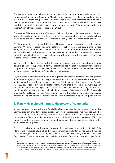The evidence for multidisciplinary approaches to providing support for families is compelling.<sup>27</sup> For example, the Family Safeguarding Model, first developed in Hertfordshire and now being rolled out to a wider group of local authorities, has successfully increased the number of children who can safely live at home, improved family feedback and reduced call outs to police - with the integration of workers who support parents as part of the model viewed as the foremost part of this success (Rodger et al., 2020).

The National Children's Social Care Framework will set guidance on the best ways of configuring new multidisciplinary Family Help Teams, and more evidence on the types of disciplines these teams could include is within the "A Revolution in Family Help" recommendation annex.

Enabling teams to be structured this way will require changes to guidance and inspection. Currently *Working Together* frequently refers to social workers undertaking child in need work, and local authorities have told us there is no clarity about whether cases can be held by a mixed workforce. Therefore, this guidance should be updated to make clear that cases at Family Help can be held by a wider workforce, whilst emphasising the specific skills and role of social workers within Family Help.

Making multidisciplinary teams work will also require proper support to the whole workforce delivering Family Help, particularly family support workers. As part of our recommendations in Chapter Seven to support the wider children's social care workforce, we recommend measures to improve support and training for family support workers.

Key to this model working will be workers having autonomy to make decisions and having control of devolved budgets. Across our deep dives, social workers told us a consistent frustration is getting sign off to provide families with resources (The independent review of children's social care, 2022c). Pilots of devolved budgets similarly found that they could be useful to support families and build relationships, but social workers were not confident using them, with a contributing factor being the organisational cultures they work in (Westlake et al., 2020; Westlake et al., 2022). The National Children's Social Care Framework should provide models of delegated decision making to workers, for instance around levels of delegated budgets to support families.

# **2. Family Help should harness the power of community**

A step change will be needed in how Family Help Teams harness the resources of communities. Communities can provide the organic, responsive help that services simply cannot. Whether it is a classmate's parent stepping in to look after a child after school to give the parents some space, a friend or family member at the end of the phone when things get difficult, or support provided by a local voluntary group. It is too easy for services to crowd out, rather than enable, this support.

There is a challenge for professionals in recognising and unleashing the full potential of the informal and invaluable relationships that the community and voluntary sector has with families. There are examples of areas and organisations who do this well already. Camden Council use Family Group Conferences in early help to bring in support from wider networks. Love Barrow

<sup>27</sup> An evaluation looking at features of successful projects in the first round of the DfE Innovation Programme identified a multidisciplinary skill set as one of seven features of effective practice. Other features have also informed our proposed model: using a clear, strengths-based practice framework; using systemic approaches to social work practice; enabling staff to do skilled direct work; undertaking group case discussion; high intensity and consistency of practitioner; and having a whole family focus. https:// innovationcsc.dev.bbdtest.co.uk/wp-content/uploads/2018/03/3.-Seven-features-of-practice-and-seven-outcomes.pdf

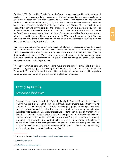Families (LBF) - founded in 2014 in Barrow-in-Furness - was developed in collaboration with local families who have faced challenges, harnessing their knowledge and experience to create a community based service which responds to local needs. Their community TimeBank also works to build social capital, with participants able to exchange their assets and skill sets and connect with others locally.<sup>28</sup> Pure Insight, referenced in Chapter Six, enrols volunteers to support those in and leaving care, and the Family by Family initiative (see box below) pulls on the community to provide support for families in need. The work of Safe Families<sup>29</sup> and Home for Good<sup>30</sup> are also good examples of this type of support for families. Peer-to-peer support often has the added bonus of being non-judgemental. Working with someone who is 'like you' and who may have faced similar problems brings down a lot of barriers for families who may feel scared of accessing help from the state.

Harnessing the power of communities will require building on capabilities in neighbourhoods and communities to effectively meet families' needs; this requires a different way of working which may feel unnatural for children's social care but should form an exciting new frontier for delivering help for families.<sup>31</sup> Wider reforms captured in this chapter - including measurements of parental engagement, interrogating the quality of service design, and more locally-based Family Help Teams - should propel this.

This work cannot be peripheral and needs to move into the core of Family Help. It should be an explicit objective as part of providing Family Help in the National Children's Social Care Framework. This also aligns with the ambition of the government's Levelling Up agenda of restoring a sense of community and empowering local communities.

# **Family by Family**

*Peer support for families*

One project the review has visited is Family by Family, in Stoke-on-Trent, which connects "sharing families" (volunteers) who have been through tough times to support families who are currently in the same situation. Families are brought together in "link ups" and work towards goals of the family's choice. The project is underpinned by a set of clear principles that place importance on choice, relationships and working from a place of strength rather than deficit. The families are supported by a knowledgeable team of family and children's coaches to support change that participants want to see.The project uses a whole family approach, recognising the vital role that children play in creating change in family units as role models, leaders and changemakers. The project is a blend of strengths based and community development approaches combined with a clear service model incorporating social work practice that enables change for families.

<sup>28</sup> Love Barrow Families - https://www.lovebarrowfamilies.co.uk/about-us/our-model/

<sup>29</sup> https://safefamilies.uk/

<sup>30</sup> https://www.homeforgood.org.uk/

<sup>31</sup> New Local made similar conclusions on this in their report "From Tiny Acorns" (Tjoa, 2019)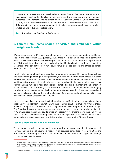It seeks not to replace statutory services but to recognise the gifts, talents and strengths that already exist within families to prevent crises from happening and to improve outcomes. The approach was developed by The Australian Centre for Social Innovation (TACSI) and is now being delivered in Stoke-on-Trent, delivered by Shared Lives Plus. This project is seeing improved outcomes that include increasing confidence, improving wellbeing and reducing social isolation.

*"It's helped our family to shine"- Stuart*

# **3. Family Help Teams should be visible and embedded within neighbourhoods**

"Patch-based social work" is not a new phenomena - it was promoted as a model in the Barclay Report of Social Work in 1982 (Glasby, 2005); there was a strong emphasis on a community based service in Lord Seebohm's 1968 report (Secretary of State for the Home Department et al., 1968); and it is employed in some local authorities. Rooting Family Help Teams in a defined area means they can get to know families, community groups, schools and others, and make more responsive decisions.32

Family Help Teams should be embedded in community venues, like family hubs, schools and health settings. Through our engagement, we have heard in too many places that social workers are remote and removed from the communities they serve. Research shows that families receiving support through universal services and within their communities, can reduce stigma and help families in need of support be identified earlier (Early Intervention Foundation, 2019). A recent DfE pilot placing social workers in schools has shown the benefits of bringing social care closer to communities, building better relationships with children, families and with partners, including reducing the number of section 47 enquiries undertaken and child in need plans in some areas (Westlake et al., 2020).

Local areas should decide the most suitable neighbourhood footprint and community setting to base Family Help Teams in consultation with their communities. For example, they might choose to use the Integrated Care Systems (ICS) neighbourhood level footprint of 30-50,000 people. The Spending Review announcement of investment into rolling out and improving family hubs in 75 areas across the country could provide an opportunity for areas to locate their Family Help services in these community settings.<sup>33</sup> Decisions about significant harm should remain at local authority level to ensure consistency (this is explained in more detail in Chapter Three).

### **Testing a more radical local delivery model**

The response described so far involves local authorities organising the delivery of their services across a neighbourhood model, with services embedded in communities and professional autonomy granted to these teams. This in itself would be a significant change in how services are delivered.

<sup>32</sup> A similar logic model for this approach applies in neighbourhood policing, which has been more thoroughly evaluated and has been found to reduce public perceptions of disorder, increase trust and confidence in the police, and increase the perceived legitimacy of the police (Colover & Quinton, 2018).

<sup>33</sup> For more details see: https://www.gov.uk/government/news/infants-children-and-families-to-benefit-from-boost-in-support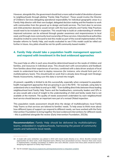However, alongside this, the government should test a more radical model of devolution of power to neighbourhoods through piloting "Family Help Practices". These would involve the Director of Children's Services delegating operational responsibility for individual geographic areas to a Family Help director with their own budget, delegated decision making and the freedom to work with communities from the ground up to design and build services. The front door to services and child protection decisions would remain with the local authority and Family Help Practices would need to be included in inspection. This would help to build an understanding of whether improved outcomes can be achieved through greater awareness and responsiveness to local need, and through more community level ownership of these services. Interested local authorities should be invited to come forward to test this model as part of the overall implementation of the broader reforms to Family Help, and results evaluated to see if this model could be rolled out further in future. Any pilots should be not-for-profit community based models.<sup>34</sup>

### **4. Family Help should take a population health management approach and respond with investment in the best evidenced approaches**

The exact help on offer in each area should be determined based on the needs of children and families, and resources in individual areas. This should start with conversations and feedback from families about their experiences of services, combined with a data driven analysis of local needs to understand how best to deploy resources (for instance, who should form part of a multidisciplinary team). This should build on work that is already done through Joint Strategic Needs Assessments, making sure this data is turned into insight.

At present, capability is limited to do this successfully, especially when compared to population health management approaches that are growing in use in the NHS - for example, using data to understand who is most likely to end up in A&E.<sup>35</sup> Even building direct links between those leading neighbourhood level Family Help Teams and the headteachers, community leaders and GPs in an area would add a level of insight to the understanding of child and family needs that is not available at the moment. The quality of needs assessment undertaken by each neighbourhood level service should become an important new part of a revised Ofsted inspection.

This population needs assessment should drive the design of multidisciplinary local Family Help Teams so that services are tailored to families' needs. To help areas to think more about how different types of support can respond to different needs, we have worked with the Early Intervention Foundation to bring together the best evidenced interventions for different needs - this is published alongside the review (Early Intervention Foundation, 2022b).

**Recommendation:** *Family Help should be delivered by multidisciplinary teams, embedded in neighbourhoods, harnessing the power of community assets and tailored to local needs.* 

<sup>34</sup> A model with some similarities was piloted in 2010 with mixed results (Stanley et al., 2012). Benefits included more opportunities for direct work, small integrated teams offering more personalised services. However there were issues in implementation, including consultation of children who were affected. Lessons from these pilots should be learnt in designing the approach to Family Help Practices.

<sup>35</sup> See for example: https://www.england.nhs.uk/integratedcare/what-is-integrated-care/phm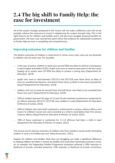# **2.4 The big shift to Family Help: the case for investment**

All of the system changes proposed in this review will not make a difference and will not be possible without the resources to invest in rebalancing the system towards help. This is the right thing to do for children and families and it will also have tangible financial benefits for government. We have now reached the point where the evidence for substantial investment in Family Help services is compelling and comprehensive.

# **Improving outcomes for children and families**

The lifetime outcomes of children in need (most of whom never enter care) are not dissimilar to children who do enter care. For example:

- in the year of exams, children in need were around 50% less likely to achieve a strong pass in their English and Maths GCSEs. Pupils who were in need at some point in the four years leading up to exams were 25-50% less likely to achieve a strong pass (Department for Education, 2019)
- pupils who were in need between 2012/13 and 2017/18 were three times as likely to have an unauthorised absence, and almost three times as likely to have been persistently absent (Department for Education, 2019)
- children who are in need are around three and half times more likely to be excluded than those who aren't (Department for Education, 2019)
- 32% of children between the ages of 12 and 16 who had been cautioned or sentenced for an offence between 2011/12-2017/18 were children in need (Department for Education & Ministry of Justice, 2022)
- 64% of children who were both cautioned or sentenced for a serious violence offence and known to children's social care were recorded as a child in need before their first serious violence offence (Department for Education & Ministry of Justice, 2022)
- 78% of those cautioned or sentenced for 11-14 offences had been a child in need (Department for Education & Ministry of Justice, 2022)

The annual cost of adverse outcomes of children who have needed a social worker (excluding children in care) is £14 billion per year (Alma Economics, 2021).

Support for children and families when they are struggling can make a significant difference to helping children do better in school, be healthy and avoid them becoming involved in crime. As an example, the Supporting Families Programme evaluation achieved a 38% reduction in likelihood of juvenile custodial sentences; 15% reduction in likelihood of juvenile convictions;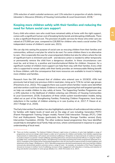25% reduction of adult custodial sentences; and 11% reduction in proportion of adults claiming Jobseeker's Allowance (Ministry of Housing Communities & Local Government, 2019). 36

### **Keeping more children safely with their families and reducing the need for future social care support**

Every child who enters care who could have remained safely at home with the right support, comes with a significant human cost of breaking family bonds and disrupting childhoods. There is also a significant financial cost. The provision of public services for those who enter care are valued at £70,900 per year, compared to £26,900 for children who need a social worker (The independent review of children's social care, 2021).

We can slip into seeing the purpose of social care as rescuing children from their families and communities, without a real plan for what to do next. For some children there is no alternative to care - this is especially the case for unaccompanied children but also for others where the risk of significant harm is imminent and swift - and decisive action is needed to either temporarily or permanently remove the child from a dangerous situation. In these circumstances care must be, and at times is, a positive and transformational lifeline for children. However, for a significant number of children more support can help them stay with their families. Every child who is supported to remain safely with their family provides an immeasurable lifelong benefit to those children, with the consequence that more resources are available to invest in helping more children and families.

Research from the DfE showed that of children who entered care in 2019/20, 43% had previously had at least one previous child in need plan, rising up to 71% for certain age groups (Fitzsimons et al., 2022). This suggests there was a point where families' needs were identified and intervention could have helped. Evidence is strong and growing that well targeted spending on help can enable children to stay safely at home. The Supporting Families Programme saw a 32% reduction in the likelihood of children entering care (Ministry of Housing Communities & Local Government, 2019). Evaluations of three whole system transformation models, being rolled out as part of the Strengthening Families, Protecting Children Programme, have found reductions in the number of children entering or in care (Lushey et al., 2017; P. Mason et al., 2017; Rodger et al., 2020).

The Early Intervention Foundation has also highlighted a selection of well evidenced interventions for families with higher levels of need and on the edge of care including: Generation PMTO (Parent Management Training Oregon model), Parent-Child Interaction Therapy (PCIT), Child First and Multisystemic Therapy (particularly the Building Stronger Families version) (Early Intervention Foundation, 2022b). The other evidence based programmes they have identified would help to strengthen local Family Help services, where commissioned in response to a good understanding of local need.

<sup>36</sup> There are further examples. The National Children's Bureau's rapid review of evidence of early help highlights a range of programmes and service design which impact a wider set of outcomes for children and families, from families experiencing improvements in relationships, self-esteem and emotional wellbeing in Shropshire; to improved levels of resilience in Essex; to positive impacts on parents' mental wellbeing, parenting behaviours and perceived parental efficacy in using the Triple P, Incredible Years, and Strengthening Families, Strengthening Communities parenting intervention programmes (Edwards et al., 2021). Evaluation of the Family Nurse Partnership programme in the UK was found to improve levels of school readiness and attainment at Key Stage 1 (Robling et al., 2021). Specialist programmes directed towards parents who have had their children removed also demonstrate positive outcomes across a range of need - for example, an evaluation of the Pause Programme showed an increase in mothers' level of wellbeing, increase in their engagement with education or training, and reduction of drug and alcohol consumption in some groups (Boddy et al., 2020; McCracken et al., 2017) .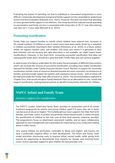Evaluating the impact of spending not tied to individual or manualised programmes is more difficult. Community development and general family support are less amenable to randomised control trial level evaluation (Edwards et al., 2021). However, this does not mean that spending on more general family support is not effective. One study found that reduced overall spending on preventative and family services is associated with rising rates of 16-17 year olds entering care (but not 1-4 year olds) (Bennett et al., 2021).

# **Promoting reunification**

Family Help can support families to reunify where children have entered care. Increases in the overall numbers of children in care in recent years have been partly driven by a reduction in children successfully returning to their families (Fitzsimons et al., 2022). In a future system where we support families early, and children only enter care where it is genuinely in their best interests and not because the right alternative is not available, we might expect fewer reunifications. However, in the short-term, increasing successful reunification that does not subsequently break down should be a goal that both Family Help and care achieve together.

A rapid review of evidence undertaken for the review found examples of different interventions which can increase the chances of successful reunification, including more stable reunification reported for families under Family Drug and Alcohol Courts. Barriers to support for successful reunification include a lack of resources directed towards the socio-economic circumstances of families, and not enough support for parents with substance misuse issues - both of which will be improved under the Family Help offer (Hood et al, 2022). The recommendations explored in Chapter Four, that would introduce Family Network Plans as an alternative to care, would also support reunification, looking beyond parents to identify loving family networks for children.

# **NSPCC Infant and Family Team**

*Intensive support for reunification*

The NSPCC London 'Infant and Family Team' provides an assessment and 9–15 month treatment programme for infants and young children aged 0-5 years who are in foster care because of abuse or neglect. The multidisciplinary team supports the child, their birth families, and foster carers, to protect and promote infant mental health. It works towards the reunification of children to the safe care of their birth parents, wherever possible. The programme's focus on attachment, placement stability, and an open, collaborative approach to case management sets a precedent for improved accuracy of decision making about a child's future.

Very young children are particularly vulnerable to abuse and neglect, and trauma can have a profoundly negative effect on their development. The Infant and Family Team model prioritises intervening early to improve infant mental health, while giving birth parents the opportunity to demonstrate their capacity for change, and ensuring foster carers receive specialist support to give children the best possible care.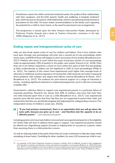Practitioners assess the child's social and emotional needs, the quality of their relationships with their caregivers, and the birth parents' health and wellbeing. A bespoke treatment plan, which focuses on the parent-child relationship, informs case planning and permanence procedures for the child. The team makes recommendations to the family court regarding the potential for a child to return home, or the need for permanent care arrangements.

The programme is based upon the New Orleans Intervention Model, developed by Professor Charles Zeanah and a team at Toulane University, Louisiana, in the late 1990s (Baginsky et al., 2017).

## **Ending repeat and intergenerational cycles of care**

Help can also break repeat cycles of care for mothers and fathers. One in four mothers who have been through care proceedings will enter into a second set of care proceedings within seven years, and 60% of these will happen in short succession of one another (Broadhurst et al., 2017). Mothers who return to court within five years of previous section 31 care proceedings make up approximately 20% of parents in the public care system (Harwin et al., 2018). More than one in ten fathers experience a return to court within five years of their first proceedings (a likely underestimate as fathers are not registered in 20% of court proceedings) (Philip et al., 2021). The majority of this cohort have experienced much higher than average levels of adversity in childhood, and the experience of having their child removed can further compound these problems with isolation and stigma that follows removal (Broadhurst & Mason, 2017; Broadhurst et al., 2017). The evidence for post-removal support on a range of outcomes is strong - including significant reductions in unplanned pregnancies, yet it is still not a universally available offer.<sup>37</sup>

Government's collective failure to support care experienced parents is a particular failure of corporate parenting. Research has shown that 40% of mothers who have had more than one child removed spent time in care as a child (Broadhurst et al., 2017). Care experienced parents have told the review that they feel they are not supported to parent their child, and instead they feel they are specifically targeted and stigmatised for safeguarding concerns (The independent review of children's social care, 2022b).

#### *"If you had previous involvement, there is an expectation that you will go down the*  66. *same path, because you grew up in care – and therefore lack the capacity to be an effective parent." - Care experienced parent*

Including parents who have had children removed and care experienced parents in the eligibility for Family Help will start to address these gaps in support. Care experienced parents should be offered non-stigmatising support focused on helping them to succeed as a parent, rather than assuming there is a child protection concern.

As well as reducing needs at the point where they are acute, investment in help also stops needs escalating at lower levels. Controlling for other variables, for every £20 increase per child in non-

<sup>37</sup> An evaluation of the Pause Programme showed an increase in mothers' level of wellbeing, increase in their engagement with education or training, and reduction of drug and alcohol consumption in some groups (Boddy et al., 2020; McCracken et al., 2017). A recent mapping of services for parents who have experienced recurrent care proceedings found that 49 local authorities did not have these services, and in 30 it was unknown whether they did or not (C. Mason & Wilkinson, 2021).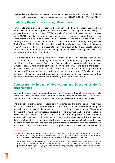safeguarding spending in a previous year, there was an average reduction of almost 2.5 children in need the following year within local authorities between  $2010/11$ -2018/19 (Webb, 2021).<sup>38</sup>

## **Reducing the occurrence of significant harm**

Family Help should also help to reduce the number of children who experience significant harm. Incidents of the most significant harm often involve the challenges that Family Help will address. Parental mental ill-health (28%), drug (24%) and alcohol (18%) use, and domestic abuse (42%) regularly feature in incidents where a child is seriously harmed or dies (Child Safeguarding Practice Review Panel, 2021b). Domestic abuse has been shown to feature strongly in cases of non-accidental injury in children under one (Child Safeguarding Practice Review Panel, 2021d). Alongside this, six in ten children who were on a child protection plan in 2017 were in need at least one year later (Fitzsimons et al. 2022). This suggests children's social care is not intervening or creating lasting change in families at the highest level of need and more significant help is required.

More details on how help and protection work alongside each other are set out in Chapter Three. At its most basic, providing multidisciplinary, non-stigmatising support to families should bring positive change to families and free up social work capacity to identify the small number of cases where children continue to be at risk of harm. Alongside this, the presence of a Family Help worker who sticks with and knows the family; a multidisciplinary team containing different expertise who understand risk; and supervision of Family Help cases by social workers, makes it much more likely risks and patterns of non-engagement will be identified, understood and responded to decisively at this part of the system.

## **Countering the impact of deprivation and boosting children's opportunities**

Local authorities are not on an equal footing when it comes to their ability to invest in help, especially those local authorities with high levels of need; lower financial reserves; lower income from council tax and business rates; and high pressures in other public services.

There is strong evidence that deprivation and other contextual and demographic factors within a local area explain the variation between local areas in the numbers of children entering care (as well as the numbers of child in need and child protection).<sup>39</sup> However, levels of investment that authorities make and their practice approach also make a difference. For example, a study in Wales found that the values and other responses of workers were significant in the management of cases, with areas with positive values about birth families correlated with lower care rates (Forrester et al., 2021). Furthermore, whilst poverty and other contextual factors are the main drivers of variation, the odds of a child being in care change substantially from one local authority to the next. That is, the local authority a child happens to live in can still have a large impact on

<sup>39</sup> See for example research by Bywaters et al. (2020), Bennett et al (2021) and the Department for Education (Fitzsimons et al., 2022). The National Audit analysis was somewhat contradictory to these other studies, but it did not use child level data (National Audit Office, 2019). Given this and the triangulation amongst these other results there is now a consensus around the primary importance of structural and contextual factors, such as deprivation, in explaining variation between local areas in the numbers of children entering care.



<sup>38</sup> Based on average reductions in spending on these services, this equates to an additional 8 to 20 children in need per 10,000 for each year of the decade - around 8,750-24,400 children in total per year - than would be expected had spending remained at 2010/11 levels. These figures are based on further discussion with Calum Webb based on his research.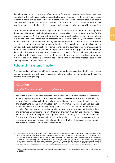**2.4**

their chances of entering care, even after structural factors such as deprivation levels have been controlled for. For instance, modelling suggests children will face a 24% difference in their chances of being in care if moved between a local authority with lower than expected rates of children in care to one with higher than expected rates (Fitzsimons et al.,  $2022)^{40}$ . Local authorities can have a decisive impact on whether children in more deprived areas are able to stay with their families.

More work should now be done to explore the factors that correlate with areas having lower than expected numbers of children in care, after contextual factors have been controlled for. For example, within the 20% of local authorities that have lowest levels of children in care relative to expectations based on their structural factors, 41% are from London. By comparison, not one of the 20% of local authorities with the highest relative levels of children in care (than would be expected based on structural factors) are in London.<sup>41</sup> Our hypothesis is that this is at least in part due to London authorities having higher council tax and business rates revenues, enabling them to invest to counter the impacts of deprivation. This in turn suggests that enabling high deprivation, low resource areas around the country to invest in Family Help, alongside a focus on working with families, could be a way to achieve the government's Levelling Up ambition in a profound way - enabling children to grow up with the foundations of safety, stability and love, regardless of where they live.

## **Rebalancing systems in action**

The case studies below exemplify core parts of the model we have described in this chapter, combining investment with work focused on help and rooted in communities and show the benefits of investing in help.

# **Camden**

## *Supporting community based approaches*

The review visited Camden as part of our local deep dives. Camden has some of the highest levels of deprivation in the country. In recent years, the service has transformed how they support families to keep children safely at home. Supported by strong financial reserves and investment by the then Troubled Families Programme, Camden Council launched its initial five year Resilient Families Programme (2014-2019) with an ambition to focus on: what families need to be resilient; giving support in the right way, at the right time; and empowering families to improve their own situation. Camden has a Family Advisory Board to learn from the experiences of people in the community and co-produce services. For example, "Camden Conversations" was a family led child protection enquiry, using a participatory approach to involve family members centrally in the design, implementation and recommendations in how the service worked.

<sup>40</sup> This analysis completed by the Department of Education uses random effects to represent all local authority specific factors (such as policy and practice) which impact activity rates over and above the structural factors controlled for. The spread of these random effects around the mean are calculated and then the likelihood of entering care is compared for local authorities who lie within one standard deviation of each other. Assuming a normal distribution of random effect one would expect 68% of the observations would lie within 1 standard deviation of the mean. This means that this represents local authorities with relatively standard non-extreme results which would not usually be considered to be outliers. There is a possibility that the random effects would be different if we had data on additional variables. For more information on this reference see Fitzsimons et al., 2022.

<sup>41</sup> This is based on additional analysis by The independent review of children's social care based on the results of Fitzsimons et al. (2022).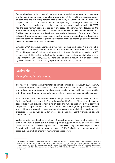Camden has been able to maintain its investment in early intervention and prevention, and has continuously spent a significant proportion of their children's services budget on early help and family support services: since 2015/16, Camden has had a high level of spend per child on family support services, spending on average 42% of their total children's services budget on early help and family support services, and in 2020/21 had the third highest spend per capita in this area.<sup>42</sup> The reforms have focused on the importance of strong relationships between social workers, family support workers and families - with investment enabling lower case loads. A large part of the support offer is delivered through community services who work to the same practice framework, ensuring there is a common approach to providing support whilst also enabling work with families to be completed close to their communities.

Between 2014 and 2021, Camden's investment into help and support in partnership with families has seen a reduction in children referred for statutory social care, from 522 to 280 per 10,000 children, and a reduction of rates of children in need from 500 children per 10,000 to 356 - indicating that families' needs are being met at a lower level (Department for Education, 2021d). There has also been a reduction in children in care by 48% between 2012 and 2021 (Department for Education, 2021b).

# **Wolverhampton**

*Championing locality working*

The review also visited Wolverhampton as part of our local deep dives. In 2016, the City of Wolverhampton Council adopted a restorative practice model for social work which emphasises the importance of building effective relationships with families – working with them rather than doing things to them, to help families make sustainable change.

In 2018, their Early Intervention Service merged with the Child in Need and Child Protection Service to become the Strengthening Families Service. There are eight localitybased Hubs which provide continuity to children and families at all levels, from early help to specialist support. Professionals in the Hubs include Strengthening Families workers who hold early intervention cases and social workers who hold child in need and child protection cases, as well as wider professionals including health visitors, police, and benefit advisors.

Wolverhampton also has Intensive Family Support teams which cover all localities. This team does not hold cases but is in place to provide support primarily to child protection cases. In addition, Wolverhampton has a multidisciplinary intensive support team, Power2, which works with young people aged 16-25. Similarly, this team does not hold cases but delivers high-intensity relationships based work.

<sup>42</sup> Calculations are based on the review's definition of "safeguarding" and "non-safeguarding" spend based on DfE's S251 spend lines. "Safeguarding spend" includes lines: 3.1.11 Total children looked after and 3.3.4 Total safeguarding children and young people's services. "Non-safeguarding spend" includes lines: 3.0.5 Total Sure Start children's centres and other spend on children under 5; 3.2.1 Other children and family services; 3.4.6 Total family support services; and 3.5.3 Total services for young people.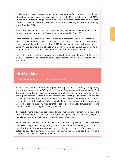Wolverhampton has increased the budget for their targeted family support through their Strengthening Families service from £7.3 million in 2014/15 to £11 million in 2021/22 - uplifting the Strengthening Families budget from 14% of their total children's services budget to 21% - and have held their spend on children and young people in care relatively stable from 2016/17.<sup>43</sup>

Increases in investment have seen a corresponding reduction in the number of children receiving statutory support in Wolverhampton between 2016 and 2021.

Rates of referrals to children's social services have decreased incrementally since 2017, from 1,009 children per 10,000 to 450 in 2021. From 2017, rates of children in need decreased until being held steady from 2019 below rates of statistical neighbours. In 2021, Wolverhampton's rate of children in need was 358 per 10,000 compared to an average of 399 for its statistical neighbours (Department for Education, 2021d).

Since 2015, rates of children in care have fallen by 36% from 135 per 10,000 to 86 in 2021 - falling below rates of its statistical neighbours in 2021 (Department for Education, 2021b).

# **Hertfordshire**

*Multidisciplinary working to support families*

Hertfordshire County Council developed and implemented its Family Safeguarding Model under round one of DfE's Children's Social Care Innovation Programme in 2015. The model provides a whole-family approach to child protection, providing direct help and support for families from different professionals working as one team, with the aim of keeping more children safely at home with their families. The model is built around a recognition that the bulk of families that children's services work with have complex issues that require support, with parental alcohol and drug use, domestic abuse and mental health issues being particularly prevalent.

The model aims to allow workers to spend more time working with families, increase the skills and knowledge of workers, and provide an inter-professional whole family response that allows parent and child issues to be addressed effectively.

There are four primary elements to the Family Safeguarding Model, including multidisciplinary Family Safeguarding teams; Motivational Interviewing as a practice model; a structured workbook approach to assessing parent's capacity for change; and an outcomes-based performance framework with a set of indicators across the partnership of agencies involved in delivering the model.

<sup>43</sup> Calculations based on City of Wolverhampton Council's internal budget (unpublished).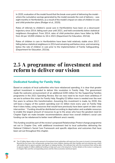In 2020, evaluation of the model found that the break-even point of delivering the model where the cumulative savings generated by the model exceeds the cost of delivery - was eight months in Hertfordshire, as a result of the model's impact on rates of children in care and child protection plans (Rodger et al., 2020).

Rates of referrals to children's social care in Hertfordshire have been on a downward trajectory since 2014, falling each year until 2021, and held consistently below statistical neighbours throughout. From 2014, rates of child protection plans have fallen by 64% from 44 per 10,000 children to 16 in 2021 (Department for Education, 2021d).

Rates of children in care in Hertfordshire have been held relatively stable since 2017, falling below statistical neighbours in 2014 and remaining well below since, and remaining below the rate of children in care prior to the implementation of Family Safeguarding. (Department for Education, 2021b).

# **2.5 A programme of investment and reform to deliver our vision**

# **Dedicated funding for Family Help**

Based on analysis of local authorities who have rebalanced spending, it is clear that greater upfront investment is needed to deliver this revolution in Family Help. The government made the welcome announcement of an additional £200 million for the Supporting Families programme in the 2021 Spending Review. But we now need to be much more ambitious if we are to achieve this vision for Family Help. Roughly £2 billion more is needed over the next five years to achieve this transformation. Assuming this investment is made, by 2030, this will leave a legacy of the system spending over £1 billion more every year on Family Help than it does today, using resources that would have previously have been spent on later crisis intervention.44 Funding should be distributed according to deprivation and available resources to enable the largest amount of resources to go to the areas who have the greatest need (in Chapter Eight we make broader recommendations about how overall children's social care funding can be rebalanced to better meet different area's needs).

This funding would be part of the review's proposed *Relationships Protect* change programme set out in Chapter One, with additional investment tied to local authorities delivering the National Children's Social Care Framework and specific objectives and outcomes that have been set out throughout this chapter.

<sup>44</sup> The £2 billion figure refers to the amount of investment local authorities will need over five years to invest in increased help. Beyond the five years, this will generate savings from more children staying with their families and not entering care, which will enable them to spend a greater total figure on helping families. We estimate that with this investment they will be able to spend roughly £1 billion additional funding on help each year in the long term. Further details on the review's costings are in Chapter Nine and the corresponding annex and the Alma economics technical report.

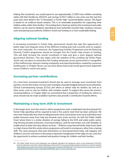Making this investment, we would expect to see approximately 17,000 more children remaining safely with their families by 2031/32, and savings of £517 million in care costs over the next five years (see more detail in the "A Revolution in Family Help" recommendation annex). This figure is based on an evidence based analysis. This is an achievable proposition for supporting more children safely within their families. The funding that is freed up, both by this investment and wider reforms, can be used to rebalance spending by local authorities towards help, creating a virtuous cycle and placing local authority children's social care funding on a more sustainable footing.

# **Aligning national funding**

In increasing investment in Family Help, government should also take this opportunity to better align and integrate some of the different funding pots that currently exist to support this work nationally. At a minimum, the Supporting Families Programme and the Reducing Parental Conflict programme should be brought into the Family Help stream of funding. This will both increase the overall investment in help and give a more aligned national government direction. This also aligns with the ambition of the Levelling Up White Paper which sets out plans to streamline the funding landscape across government in recognition of the inefficiencies, decision making complexity and reporting burdens created by numerous funding pots. In Chapter Seven, we say more about improving overall government alignment across children's social care policy.

## **Increasing partner contributions**

At a local level, increased investment should also be used to leverage more investment from partners. Across the review we have seen examples of pooled budgets between local authorities, Clinical Commissioning Groups (CCGs) and others to deliver help for families (as well as in other areas, such as care for children with complex needs). To support this across the review's recommendations, in Chapter Eight we recommend that a proportion of funding for reform to areas should only be made available if partners also provide a contribution towards efforts.

## **Maintaining a long term shift to investment**

In the longer term, once the review's reform programme ends, a dedicated ring-fenced grant for Family Help spending will be required to lock in the system reset that has been achieved. We have seen historically that when funding becomes more constrained, many local authorities have pulled resources away from help and towards more acute services. As with the Public Health Grant where there is a similar situation of savings falling to the NHS and wider public sector, ring-fencing provides protection, ensuring funding is used for prevention, but with flexibility to enable areas to tailor how they deliver services.<sup>45</sup> Without a ring-fenced Family Help Grant, there is a high chance that this whole reform programme will result in a temporary rather than a lasting shift. The same pressures that exert themselves on local government today will reappear and children's services will return to focusing on demand management at the edge of care, and miss the opportunity to achieve sustained and positive change for children and their families.

<sup>45</sup> The Public Health Grant to local authorities was originally intended to be temporary when it was introduced in 2013/14, however almost ten years later remains following concerns that if it was removed disinvestment would occur. See for example: https://publications.parliament.uk/pa/cm201415/cmselect/cmpubacc/893/893.pdf and https://www.nao.org.uk/wp-content/ uploads/2014/12/Public-health-england%E2%80%99s-grant-to-local-authorities.pdf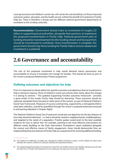Local government and children's social care will not be the sole beneficiary of these improved outcomes; justice, education, and the health service will feel the benefit of investment in Family Help too. There is therefore a strong case for different national government departments to contribute to this funding nationally.

**Recommendation:** *Government should make an investment of roughly £2 billion in supporting local authorities, alongside their partners, to implement the proposed transformation in Family Help. National government pots of funding should be mainstreamed into this funding stream and local partners should be incentivised to contribute. Once transformation is complete, the government should ring-fence funding for Family Help to ensure rebalanced investment is sustained.* 

# **2.6 Governance and accountability**

The size of the proposed investment in help would demand robust governance and accountability to ensure it translates into change for families. This should be done as part of the review's proposed *Relationships Protect* programme.

## **Defining outcomes and objectives for help**

First, it is important to clearly define the specific outcomes and objectives that an investment in help is aiming to improve. Much of children's social care activity lacks clarity about the change it is aiming to achieve. $46$  The updated Supporting Families outcomes framework $47$  provides a good model of the results Family Help should be delivering. These outcomes should be captured, alongside those focused on other parts of the system, as part of National Children's Social Care Framework. Measures of success and learning, supported by a reimagined child in need data collection, should be quantified through the review's proposed balanced scorecard to aid learning (detailed in Chapter Eight).

The National Children's Social Care Framework would also set objectives for the key features of how help should be delivered - i.e. that it should be rooted in neighbourhoods, multidisciplinary, and targeted to the needs of a population. Practice guides would point to the best available evidence for how to deliver this. For example, pointing to the most effective interventions for different needs (building on the Early Intervention Foundation's report published alongside the review) and effective means of family engagement. Areas should demonstrate they are implementing these key features of Family Help as a requirement for receiving additional funding.

<sup>47</sup> The updated Supporting Families Framework has moved from six headline criteria to ten headline outcomes and will come into effect from 3 October 2022 (Department for Levelling Up, Housing and Communities, 2022b).



<sup>46</sup> The Children Act 1989 does not define this, although the Welfare Checklist in section 1 of the Children Act offers some indication (for instance, reference to "physical, emotional and educational needs").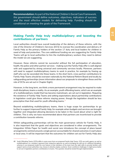**Recommendation:** *As part of the National Children's Social Care Framework, the government should define outcomes, objectives, indicators of success and the most effective models for delivering help. Funding should be conditional on meeting the goals of the Framework.* 

## **Making Family Help truly multidisciplinary and boosting the contributions of partners**

Local authorities should have overall leadership of the delivery of these reforms, with the role of the Director of Children's Services (DCS) to oversee the coordination and delivery of Family Help as the primary holders of the section 17 duty and local leaders for children in need of help and protection. The core additional funding we are suggesting for Family Help Teams will go to local authorities to hire the multidisciplinary workers they need to deliver the model we are suggesting.

However, these reforms cannot be successful without the full participation of education, health, the police and other partner services - making sure the Family Help offer is well aligned with and supported by strong universal and community services locally. Moreover, partners will need to support multidisciplinary teams to work in practice, for example by freeing up staff who can be seconded into these teams. In the short term, cross partner contributions to Family Help Teams should be overseen nationally by the National Reform Board and locally by safeguarding partnerships (more information about our proposals to strengthen these and the role of DCSs are set out in Chapter Eight).

However, in the long term, we think a more permanent arrangement may be required to make multi disciplinary teams a reality. As an example, youth offending teams, which are an example of a multidisciplinary model that has become mainstream, are set out in legislation. Requiring the existence of Family Help Teams and setting expectations about partnership contributions in legislation could give these reforms staying power, though the legislation should be less prescriptive than that used for youth offending teams.<sup>48</sup>

Beyond establishing multidisciplinary teams, there is huge scope for partnerships to go further to support improved Family Help, for example when budgets and services are brought together and integrated allowing decisions to be taken in the round about what is right for children. This is why we have recommended above that partners are incentivised to provide a contribution towards reforms.

Whilst safeguarding partnerships will be the main governance vehicle for Family Help, it is also important that the goals and objectives are considered in other arrangements. The Integration White Paper for health and social care introduces the concept of place based arrangements centred around a single person accountable for shared outcomes in each place or local area. It will be important that the outcomes for children set out for Family Help also

<sup>48</sup> Youth Offending Teams (YOTs) differ in some ways from our proposed Family Help Teams. YOTs are multi-agency as well as multidisciplinary (i.e. members represent their respective agencies as well as bringing the skill set of a different discipline), whereas in our proposed model the core feature is that members of the team have the right skills to provide families with support (and so local authorities may choose to directly employ workers). Given workforce challenges it might prove better to set out in legislation partners contributions to teams. This question should be tested through implementation.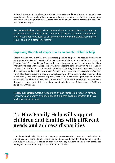feature in these local place boards, and that in turn safeguarding partner arrangements have a read across to the goals of local place boards. Governance of Family Help arrangements will also need to align with the proposed local multi-agency panels proposed in the SEND and AP Green Paper.

**Recommendation:** *Alongside recommendations to strengthen multi-agency partnerships and the role of the Director of Children's Services, government should consider legislating to put the existence of multi-disciplinary Family Help Teams on a statutory footing.* 

## **Improving the role of inspection as an enabler of better help**

Ofsted will also have a critical role in supporting and holding areas to account for delivering an improved Family Help service. Our full recommendations for inspection are set out in Chapter Eight. A revised Ofsted framework should focus on the quality and proportionality of interventions used with families. This would mean looking at the quality of help received by families, how risk has been understood and balanced, looking back at the journey of children that have escalated to see if opportunities for help were missed, and assessing how effectively Family Help Teams engage families (including focusing on the father, as well as wider members of the family who could provide support). They should also interrogate population needs assessments and how effectively services respond to those needs, and the ability of leaders to delegate freedoms to front-line practitioners and make best use of the resources of different disciplines within help.

**Recommendation:** *Ofsted inspections should reinforce a focus on families receiving high quality, evidence based help that enables children to thrive and stay safely at home.* 

# **2.7 How Family Help will support children and families with different needs and address disparities**

In implementing Family Help and carrying out population needs assessments, local authorities should pay specific attention to how recommendations and ultimately their Family Help offer can support different groups of children and families, including children with disabilities, teenagers, families in poverty and ethnic minority families.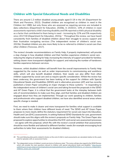## **Children with Special Educational Needs and Disabilities**

There are around 1.3 million disabled young people aged 0-19 in the UK (Department for Work and Pensions, 2022). Disabled children are recognised as children in need in the Children Act 1989, but only those who are assessed as requiring services are included in data collections (Department for Education, 2020b). In 2020/21, 10% of children in need assessments reported a child's learning disability and 5% reported a child's physical disability as a factor that contributed to them being in need - increasing by 22% and 5% respectively since 2017/18 (Department for Education, 2021j).<sup>49</sup> Throughout the review, we have heard consistently from families of disabled children about their struggle to access support and their frustration navigating services (The independent review of children's social care, 2022b). Disabled children are also more likely to be re-referred to children's social care than other children (Troncoso, 2017).

The review's broader recommendations on Family Help, if properly implemented, will provide a step change in how disabled children and their families experience children's social care reducing the stigma of asking for help; increasing the intensity of support provided for families; setting clearer more transparent eligibility for support; and reducing the number of handovers families experience between services.

However, whilst disabled children will benefit from the overall improvements to Family Help suggested by the review (as well as wider improvements to commissioning and workforce skills, which will also benefit disabled children), their needs can also differ from other children supported by social care and so require specific consideration. Whilst the review has been underway, the government has been looking at the support for children with Special Educational Needs and Disabilities (SEND) and in alternative provision (AP) and has recently published a Green Paper consulting on major changes to these systems.50 In responding to the independent review of children's social care and taking forward the proposals in the SEND and AP Green Paper, it is critical that the government looks at the interplay between both sets of recommendations to make sure they align, and that families and disabled children are engaged about how they are implemented. Through our work speaking to children, families and professionals who support disabled children, we have also identified several areas where specific change is needed.

First, we need to make it clearer and more transparent for families what support is available to them where their children have different levels of need. The SEND and AP Green Paper proposes to more clearly define the statutory requirement for social care input into Education, Health and Care (EHC) assessments. In setting National SEND Standards for care, government should make sure this aligns with the review's proposals on Family Help. The Green Paper also proposed to explore opportunities to streamline the EHC and social care assessment processes - we agree with this proposal, which fits with the review's overall ambition that assessments should be more flexible and tailored to different families' needs (for example encouraging local authorities to tailor their assessments for disabled children).

<sup>49</sup> This and following data points related to factors at the end of child in need assessments are calculated relative to the yearly total for episodes with an assessment factor.

<sup>50</sup> The independent review of children's social care terms of reference state: "The review will give due regard to the SEND Review, which will consider the main questions relevant to children with special educational needs and disability." https://assets. publishing.service.gov.uk/government/uploads/system/uploads/attachment\_data/file/952624/terms\_of\_reference\_independent\_ childrens\_social\_care\_review.pdf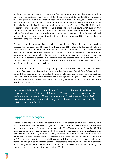An important part of making it clearer for families what support will be provided will be looking at the outdated legal framework for the social care of disabled children. At present there is a patchwork of duties that sit between the Children Act 1989, the Chronically Sick and Disabled Persons Act 1970, and the Children and Families Act 2014; outdated definitions that exist in some legislation; and poor alignment with the Care Act 2014. All of this works together to make it hard for families and professionals to understand what support they should receive. We therefore recommend that the Law Commission undertakes a review of children's social care disability legislation to bring more coherence to the existing patchwork of legislation. Government should work with parent carer forums and SEND stakeholders to inform the scope of the review.

Second, we need to improve disabled children's experiences of transitions into adult services, an issue that has been raised frequently with the review (The independent review of children's social care, 2022b; The independent review of children's social care, 2022c). Adult services need to support planning well in advance of transitions. Age 0-25 disabled children's teams are an area of positive practice that we have seen in some local authorities and should be promoted. In defining a consistent national format and process for EHCPs, the government should ensure that local authorities complete and record in good time how children will transition to adult social care services.

Third, we need to improve the strategic integration of children's social care with the SEND system. One way of achieving this is through the Designated Social Care Officer, which is currently being piloted within 30 local authorities to help join up social care and other partners. The SEND and AP Green Paper proposes this is strongly encouraged through the SEND Code of Practice. This is a positive step forward and the government should continue to consider how it can embed this role.

**Recommendation:** *Government should ensure alignment in how the proposals in the SEND and Alternative Provision Green Paper and this review are implemented. The government should ask the Law Commission to review the current patchwork of legislation that exists to support disabled children and their families.* 

## **Support for teenagers**

Teenagers are the largest growing cohort in both child protection and care. From 2010 to 2021, the number of children in care aged 10-15 years has increased by 26%, and the number of children in care aged 16 and over has increased by 37% (Department for Education, 2021b). Over the same period, the number of children aged 16 and over on a child protection plan increased by 240% and by 52% for 10-15 year olds (Department for Education, 2021j). For teenagers, the most prevalent factor at assessment is the child's mental health. From the age of 12, there is a sharp increase in child alcohol and drug misuse, child sexual exploitation, trafficking, gangs, missing children, socially unacceptable behaviour and self harm (Fitzsimons et al., 2022). When older children enter care they are more likely to remain in care long term compared to the youngest entrants (Neil et al., 2019).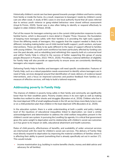Historically children's social care has been geared towards younger children and harms coming from family or inside the home. As a result, responses to teeangers' needs by children's social care are often weak. A study of 841 cases in one local authority found that all cases referred due to serious youth violence or gang-related behaviour were closed without assessment (Lloyd & Firmin, 2020). Social care is also often failing to identify or respond effectively to neglect in older children (Ofsted, 2018).

Part of the reason for teenagers entering care is the current child protection response to extra familial harms, which is discussed in more detail in Chapter Three. However, the foundation of keeping more teenagers safely with their families is in providing the right early support. Given the differing needs of teenagers, this suggests that the support needed is likely to be different, including making better use of child mental health support, youth workers, and peer interventions. These are likely to be quite different to the types of support offered to families with young children. The youth work workforce has been particularly affected by funding cuts over the past decade, and so rebuilding (and rethinking) this capacity both at a universal level and within Family Help is critical to the success of better supporting this group of young people (Research in Practice, 2022; YMCA, 2020). Providing a national definition of eligibility for Family Help will also provide an opportunity to ensure areas are consistently identifying teenagers who require support.

Delivering Family Help to families and teenagers will need specific consideration. Features of Family Help, such as a robust population needs assessment to identify where teenagers are in need of help, services designed around that identification of need, delivery of evidence based interventions, and a focus on improved outcomes and positive feedback from families as a measure of effective services, will help to build a tailored response.

# **Addressing poverty in Family Help**

The chances of children in poverty living safely in their family and community are significantly lower than for their wealthier peers. Poverty creates stress in its own right as well as making families less resilient to other shocks and struggles (Bywaters et al., 2016). Children who live in the most deprived 10% of small neighbourhoods in the UK are ten times more likely to be in care or on a child protection plan than children in the least deprived 10% (Bywaters et al., 2020).

In the education system, there is a wide understanding at both a public and policy making level of the injustices of educational inequalities linked to deprivation; we need a similar acknowledgement and determination to address the child welfare inequalities present in the children's social care system. In pursuing the Levelling Up agenda, it is critical that government gives the same weight to deprivation and its relationship with children's social care outcomes as it has given to its impact on skills, educational attainment and health outcomes.

Rates of child poverty, effectiveness of benefits, and availability of wider universal services are intertwined with the need for children's social care services. The delivery of Family Help must directly respond to deprivation by improving the material conditions of families where it is affecting their ability to parent (something that is already specifically set out in section 17). This would include:

• income maximisation (e.g. building in routine benefits checks, money and debt advice and advocacy for all families)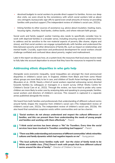- devolved budgets to social workers to provide direct support to families. Across our deep dive visits, we were struck by the consistency with which social workers told us about very stringent, bureaucratic sign offs to spend even small amounts of money on providing families with practical support (The independent review of children's social care, 2022c)
- linking families to other sources of assistance e.g. advice about insulation, heating, loans, housing rights, charities, food banks, clothes banks, and where relevant faith groups

Social work and family support worker training also needs to specifically consider how to work with deprived families in a broader sense, including ensuring workers understand how to address and be sensitive to the non-material aspects of poverty (like shame, stigma and stress), and that social workers can engage sympathetically with families and understand the links between poverty and other dimensions of family life, such as impact on relationships and mental health. Crucially, supervision and professional development for social workers should challenge conflated and confused ideas about poverty, neglect and maltreatment.

Later in the report we discuss how, at a system level, the resources that local areas receive need to fully take into account deprivation to ensure that they have the resources to respond to need.

## **Addressing ethnic disparities in who gets help**

Alongside socio-economic inequality, racial inequalities are amongst the most pronounced disparities in children's social care. In England, children from Black and from some Mixed ethnic groups are more likely to be in care, and children of South Asian heritage are less likely (Bywaters et al., 2019). Nearly a third of social workers reported witnessing racism directed towards families by colleagues or managers in a recent survey (What Works Centre for Children's Social Care et al., 2022). Through the review, we have tried to probe why some children are more likely to enter care by analysing data and speaking to young people, families, social workers and directors of children's services. This research is captured in a separate annex published alongside the review.

We heard from both families and professionals that understanding of different cultural norms around family shapes the response from children's social care (The independent review of children's social care, 2022a; The independent review of children's social care, 2022b). We also heard that sometimes suspicion exists within communities and can be a barrier.

- " *"Social workers do not always understand and respect the cultural differences of families, and this can prevent them from understanding the needs of young people and families and working with them effectively." - Parent*
- *"I think social services has been always a "No" for Travellers. Every time the social*  "" *services have been involved in Travellers something bad happens" - Parent*
- *"There was little understanding and awareness of different communities' ethnic minorities*  66 *cultures and family dynamics which had negative impacts on me" - Young person*
- 44 *"The local authority know families really well - but the vision of family tends to be White and middle class. [This] Doesn't work with people that have different cultural norms around the idea of family." - Director of Children's Services*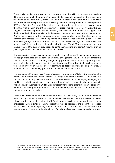There is also evidence suggesting that the system may be failing to address the needs of different groups of children before they escalate. For example, research by the Department for Education has found that, of those children who entered care, 65% and 62% of White and Mixed children respectively had previously been on a child protection plan compared to 39% and 36% for Black and Asian children respectively. Even whilst this raises concerns of the efficacy of plans in preventing escalation for those who do receive intervention, this also suggests that certain groups may be less likely to receive any form of help and support from the local authority before escalating in the system compared to others (Ahmed, James, et al., 2022). This concern is further reinforced by wider research which found that Black and Mixed heritage boys are less likely than their peers to have been referred to early help services when they were younger. It was also found that Black and Mixed heritage boys who have been referred to Child and Adolescent Mental Health Services (CAMHS) at a young age, have not always received the support they needed prior to them coming into contact with the criminal justice system (HM Inspectorate of Probation, 2021).

Bringing services closer to communities through a population health management approach, co-design of services, and understanding family engagement should all help to address this. Our recommendation on reforming safeguarding partners, discussed in Chapter Eight, will also require the wider partnerships to understand disparities in how their services respond to need. In bringing in the resources of communities, local authorities should pay particular attention to small community groups who know their communities well.

The evaluation of the *See, Hear, Respond* project - set-up during COVID-19 to bring together national and community based charities to support vulnerable families - identified that smaller community organisations tended to be more successful in identifying, engaging and working with children and young people from ethnic minority communities during the project's implementation (Barnardo's, 2021). Broader recommendations that focus on supporting the workforce, including through the Early Career Framework, should include a focus on cultural competence for social workers.

There is still more to do to build evidence in this area. The Early Intervention Foundation, Race Equality Foundation and Action for Children have identified challenges in relation to how ethnic minority communities interact with family support services - an area which needs to be understood in more detail to ensure support for families addresses the disparities described above.51 This should be a priority area for future research and is included in a broader list of evidence gaps within the National Children's Social Care Framework recommendation annex.

<sup>51</sup> The Early Intervention Foundation, Race Equality Foundation and Action for Children launched a survey, SpeakOut, to hear from young people and parents from ethnic minority families in England to understand more about how help is accessed and if the support available is right: https://speakout.family/about/. Findings from the survey will be published soon.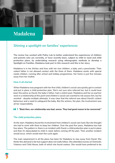# **Madalena**

# *Shining a spotlight on families' experiences*

**The review has worked with Policy Lab to better understand the experiences of children and parents who are currently, or have recently been, subject to child in need and child protection plans, by undertaking research using ethnographic methods to develop a Spotlight on Families. Madalena took part in this research and this is her story.**

Madalena is in her thirties and lives with her two children: a baby and a preschooler. Their violent father is not allowed contact with the three of them. Madalena works with special needs children, running after school and holiday programmes. Her home is just five minutes away from her mother.

#### **How it all started**

When Madalena was pregnant with her first child, children's social care quickly got in contact and put in place a child protection plan. She's not sure who referred her, but it could have been the police as David, the baby's father, had a violent past. Madalena and her ex-partner were in a relationship at this point and children's social care wanted to risk assess him, but he resisted - despite multiple attempts. It was clear that the referral was about David's violent behaviour and a need to safeguard the baby. But the actions, the plan, the involvement was all her responsibility.

*"Back then, our relationship was bad, worse. They had good reason to be concerned."*

### **The child protection plans**

At the start, Madalena found the involvement from children's social care hard. But she thought she had to work with them to keep her children. Over the past five years, Madalena has had four plans. The pattern is: there is an incident with David, a child protection plan is put in place and then it's deescalated to child in need, before coming off the plan. Then another incident would occur, which would start the cycle again.

The main requirement in all the plans has been for Madalena to stay away from David. She thinks this demand is fair but support does not really follow. She attended courses on Domestic Violence and Child Abuse, both of which she found useless. She would have preferred to be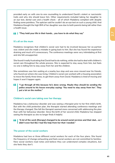**2.7**

provided early on with one-to-one counselling to understand David's violent or narcissistic traits and why she should leave him. Other requirements included taking her daughter to an eye test, dental care and a health check - all of which Madalena complied with despite finding some pointless. The optician said he couldn't do an eye test on such a young child. And Madalena thought the high BMI of her daughter was due to both parents being tall rather than a health issue.

#### *"They hold your life in their hands… you have to do what they say"*

### **It's all on the mum**

Madalena recognises that children's social care had to be involved because her ex-partner was violent and she made a mistake in going back to him. But she has found the experience draining and much of it unnecessary. The conference meetings were very intimidating at first and she felt unsupported.

She found it really frustrating that David had to do nothing, while she had to deal with children's social care throughout the whole process. She is expected to stay away from him, but feels no-one is telling him to stay away from her and the children.

She sometimes saw him waiting at a nearby bus stop and was once moved near his friends, who found out where she was living. Children's social care worked with a housing association to move the family three times, to get them away from David. Madalena is tired of moving and hopes it won't happen again.

#### 66 *"I go through all this because he's done wrong. Maybe they should be sending the police around to his house everyday saying: 'You need to stay away from her'. They put a lot on the mother."*

### **Children's social care taking over her therapy**

Madalena has a behaviour disorder and was seeing a therapist prior to her first child's birth. But with the child protection plan, the therapist started attending conference meetings and the therapy changed. She felt the therapist seemed more concerned with addressing the plan than with her behaviour disorder. Since the birth of her second child, Madalena has stopped seeing the therapist as she no longer finds it helpful.

#### *"A lot of the work [therapy] changed to be around social services and their dad… so I*  44 *didn't even feel like I had the help from her that I needed."*

#### **The power of the social workers**

Madalena had two or three different social workers for each of the four plans. She found the frequency of change exhausting and feels social workers are not committed to families. New social workers read notes and believe they can understand complex situations, but she feels they don't.